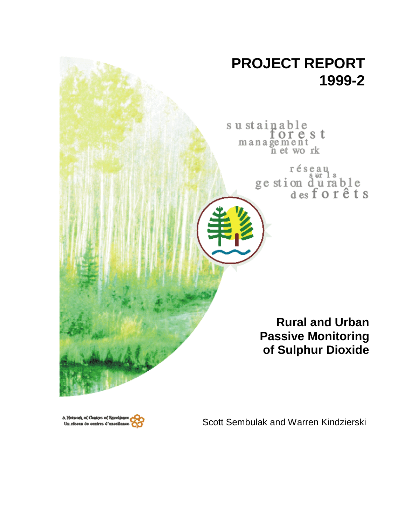



Scott Sembulak and Warren Kindzierski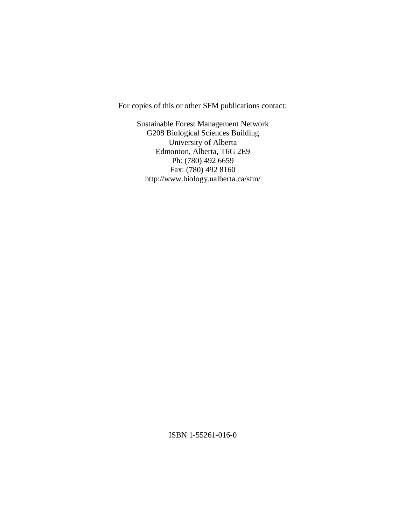For copies of this or other SFM publications contact:

Sustainable Forest Management Network G208 Biological Sciences Building University of Alberta Edmonton, Alberta, T6G 2E9 Ph: (780) 492 6659 Fax: (780) 492 8160 http://www.biology.ualberta.ca/sfm/

ISBN 1-55261-016-0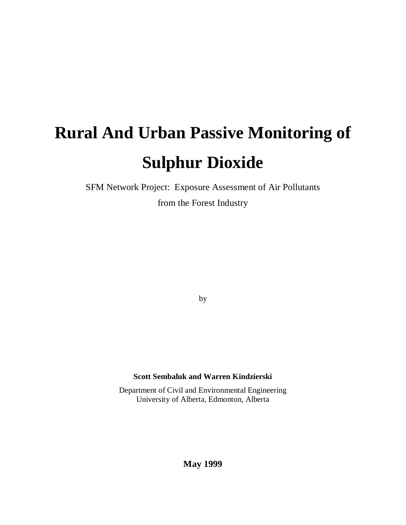# **Rural And Urban Passive Monitoring of Sulphur Dioxide**

SFM Network Project: Exposure Assessment of Air Pollutants

from the Forest Industry

by

## **Scott Sembaluk and Warren Kindzierski**

Department of Civil and Environmental Engineering University of Alberta, Edmonton, Alberta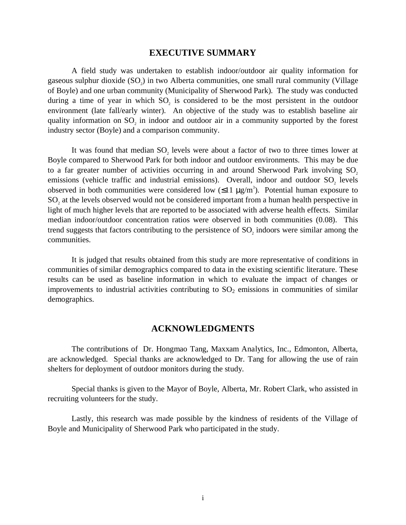## **EXECUTIVE SUMMARY**

A field study was undertaken to establish indoor/outdoor air quality information for gaseous sulphur dioxide  $(SO<sub>2</sub>)$  in two Alberta communities, one small rural community (Village of Boyle) and one urban community (Municipality of Sherwood Park). The study was conducted during a time of year in which  $SO_2$  is considered to be the most persistent in the outdoor environment (late fall/early winter). An objective of the study was to establish baseline air quality information on  $SO_2$  in indoor and outdoor air in a community supported by the forest industry sector (Boyle) and a comparison community.

It was found that median  $SO_2$  levels were about a factor of two to three times lower at Boyle compared to Sherwood Park for both indoor and outdoor environments. This may be due to a far greater number of activities occurring in and around Sherwood Park involving SO<sub>2</sub> emissions (vehicle traffic and industrial emissions). Overall, indoor and outdoor  $SO_2$  levels observed in both communities were considered low  $(\leq 11 \ \mu g/m^3)$ . Potential human exposure to  $SO<sub>2</sub>$  at the levels observed would not be considered important from a human health perspective in light of much higher levels that are reported to be associated with adverse health effects. Similar median indoor/outdoor concentration ratios were observed in both communities (0.08). This trend suggests that factors contributing to the persistence of  $SO_2$  indoors were similar among the communities.

It is judged that results obtained from this study are more representative of conditions in communities of similar demographics compared to data in the existing scientific literature. These results can be used as baseline information in which to evaluate the impact of changes or improvements to industrial activities contributing to  $SO<sub>2</sub>$  emissions in communities of similar demographics.

## **ACKNOWLEDGMENTS**

The contributions of Dr. Hongmao Tang, Maxxam Analytics, Inc., Edmonton, Alberta, are acknowledged. Special thanks are acknowledged to Dr. Tang for allowing the use of rain shelters for deployment of outdoor monitors during the study.

Special thanks is given to the Mayor of Boyle, Alberta, Mr. Robert Clark, who assisted in recruiting volunteers for the study.

Lastly, this research was made possible by the kindness of residents of the Village of Boyle and Municipality of Sherwood Park who participated in the study.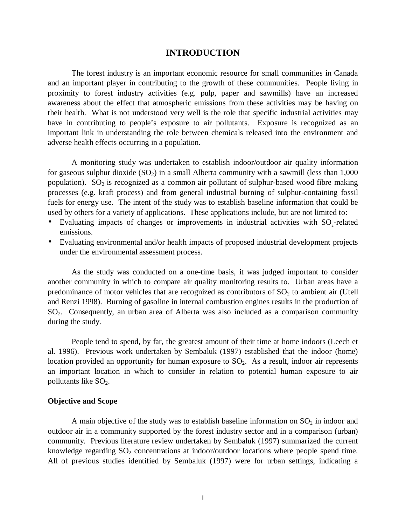## **INTRODUCTION**

The forest industry is an important economic resource for small communities in Canada and an important player in contributing to the growth of these communities. People living in proximity to forest industry activities (e.g. pulp, paper and sawmills) have an increased awareness about the effect that atmospheric emissions from these activities may be having on their health. What is not understood very well is the role that specific industrial activities may have in contributing to people's exposure to air pollutants. Exposure is recognized as an important link in understanding the role between chemicals released into the environment and adverse health effects occurring in a population.

A monitoring study was undertaken to establish indoor/outdoor air quality information for gaseous sulphur dioxide  $(SO<sub>2</sub>)$  in a small Alberta community with a sawmill (less than 1,000) population).  $SO_2$  is recognized as a common air pollutant of sulphur-based wood fibre making processes (e.g. kraft process) and from general industrial burning of sulphur-containing fossil fuels for energy use. The intent of the study was to establish baseline information that could be used by others for a variety of applications. These applications include, but are not limited to:

- Evaluating impacts of changes or improvements in industrial activities with  $SO_2$ -related emissions.
- Evaluating environmental and/or health impacts of proposed industrial development projects under the environmental assessment process.

As the study was conducted on a one-time basis, it was judged important to consider another community in which to compare air quality monitoring results to. Urban areas have a predominance of motor vehicles that are recognized as contributors of  $SO<sub>2</sub>$  to ambient air (Utell and Renzi 1998). Burning of gasoline in internal combustion engines results in the production of SO2. Consequently, an urban area of Alberta was also included as a comparison community during the study.

People tend to spend, by far, the greatest amount of their time at home indoors (Leech et al. 1996). Previous work undertaken by Sembaluk (1997) established that the indoor (home) location provided an opportunity for human exposure to  $SO<sub>2</sub>$ . As a result, indoor air represents an important location in which to consider in relation to potential human exposure to air pollutants like  $SO<sub>2</sub>$ .

#### **Objective and Scope**

A main objective of the study was to establish baseline information on  $SO_2$  in indoor and outdoor air in a community supported by the forest industry sector and in a comparison (urban) community. Previous literature review undertaken by Sembaluk (1997) summarized the current knowledge regarding  $SO_2$  concentrations at indoor/outdoor locations where people spend time. All of previous studies identified by Sembaluk (1997) were for urban settings, indicating a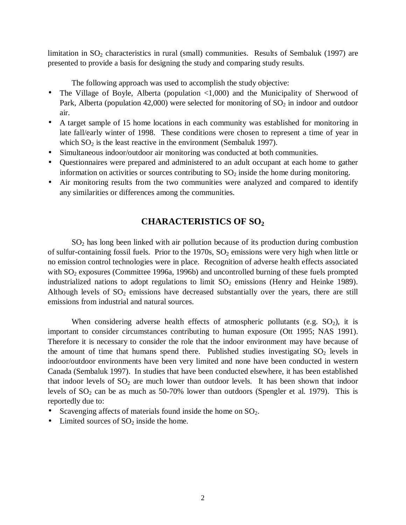limitation in SO<sub>2</sub> characteristics in rural (small) communities. Results of Sembaluk (1997) are presented to provide a basis for designing the study and comparing study results.

The following approach was used to accomplish the study objective:

- The Village of Boyle, Alberta (population  $\langle 1,000 \rangle$  and the Municipality of Sherwood of Park, Alberta (population 42,000) were selected for monitoring of  $SO<sub>2</sub>$  in indoor and outdoor air.
- A target sample of 15 home locations in each community was established for monitoring in late fall/early winter of 1998. These conditions were chosen to represent a time of year in which  $SO_2$  is the least reactive in the environment (Sembaluk 1997).
- Simultaneous indoor/outdoor air monitoring was conducted at both communities.
- Questionnaires were prepared and administered to an adult occupant at each home to gather information on activities or sources contributing to  $SO<sub>2</sub>$  inside the home during monitoring.
- Air monitoring results from the two communities were analyzed and compared to identify any similarities or differences among the communities.

## **CHARACTERISTICS OF SO2**

SO2 has long been linked with air pollution because of its production during combustion of sulfur-containing fossil fuels. Prior to the 1970s,  $SO<sub>2</sub>$  emissions were very high when little or no emission control technologies were in place. Recognition of adverse health effects associated with  $SO_2$  exposures (Committee 1996a, 1996b) and uncontrolled burning of these fuels prompted industrialized nations to adopt regulations to limit  $SO_2$  emissions (Henry and Heinke 1989). Although levels of  $SO_2$  emissions have decreased substantially over the years, there are still emissions from industrial and natural sources.

When considering adverse health effects of atmospheric pollutants (e.g.  $SO_2$ ), it is important to consider circumstances contributing to human exposure (Ott 1995; NAS 1991). Therefore it is necessary to consider the role that the indoor environment may have because of the amount of time that humans spend there. Published studies investigating  $SO_2$  levels in indoor/outdoor environments have been very limited and none have been conducted in western Canada (Sembaluk 1997). In studies that have been conducted elsewhere, it has been established that indoor levels of  $SO_2$  are much lower than outdoor levels. It has been shown that indoor levels of  $SO_2$  can be as much as 50-70% lower than outdoors (Spengler et al. 1979). This is reportedly due to:

- Scavenging affects of materials found inside the home on  $SO_2$ .
- Limited sources of  $SO_2$  inside the home.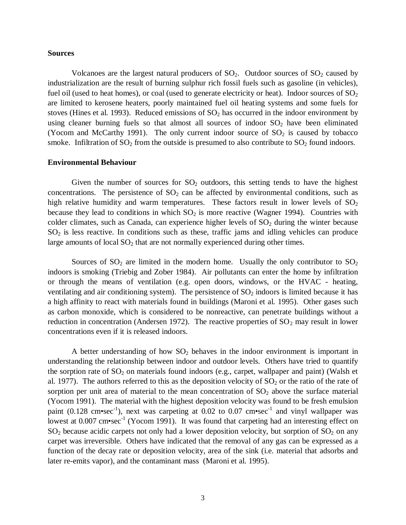#### **Sources**

Volcanoes are the largest natural producers of  $SO_2$ . Outdoor sources of  $SO_2$  caused by industrialization are the result of burning sulphur rich fossil fuels such as gasoline (in vehicles), fuel oil (used to heat homes), or coal (used to generate electricity or heat). Indoor sources of  $SO_2$ are limited to kerosene heaters, poorly maintained fuel oil heating systems and some fuels for stoves (Hines et al. 1993). Reduced emissions of  $SO<sub>2</sub>$  has occurred in the indoor environment by using cleaner burning fuels so that almost all sources of indoor  $SO_2$  have been eliminated (Yocom and McCarthy 1991). The only current indoor source of  $SO<sub>2</sub>$  is caused by tobacco smoke. Infiltration of  $SO_2$  from the outside is presumed to also contribute to  $SO_2$  found indoors.

#### **Environmental Behaviour**

Given the number of sources for  $SO_2$  outdoors, this setting tends to have the highest concentrations. The persistence of  $SO<sub>2</sub>$  can be affected by environmental conditions, such as high relative humidity and warm temperatures. These factors result in lower levels of  $SO_2$ because they lead to conditions in which  $SO_2$  is more reactive (Wagner 1994). Countries with colder climates, such as Canada, can experience higher levels of  $SO<sub>2</sub>$  during the winter because SO2 is less reactive. In conditions such as these, traffic jams and idling vehicles can produce large amounts of local  $SO_2$  that are not normally experienced during other times.

Sources of  $SO_2$  are limited in the modern home. Usually the only contributor to  $SO_2$ indoors is smoking (Triebig and Zober 1984). Air pollutants can enter the home by infiltration or through the means of ventilation (e.g. open doors, windows, or the HVAC - heating, ventilating and air conditioning system). The persistence of  $SO<sub>2</sub>$  indoors is limited because it has a high affinity to react with materials found in buildings (Maroni et al. 1995). Other gases such as carbon monoxide, which is considered to be nonreactive, can penetrate buildings without a reduction in concentration (Andersen 1972). The reactive properties of  $SO_2$  may result in lower concentrations even if it is released indoors.

A better understanding of how  $SO<sub>2</sub>$  behaves in the indoor environment is important in understanding the relationship between indoor and outdoor levels. Others have tried to quantify the sorption rate of  $SO_2$  on materials found indoors (e.g., carpet, wallpaper and paint) (Walsh et al. 1977). The authors referred to this as the deposition velocity of  $SO_2$  or the ratio of the rate of sorption per unit area of material to the mean concentration of  $SO_2$  above the surface material (Yocom 1991). The material with the highest deposition velocity was found to be fresh emulsion paint (0.128 cm•sec<sup>-1</sup>), next was carpeting at 0.02 to 0.07 cm•sec<sup>-1</sup> and vinyl wallpaper was lowest at  $0.007$  cm•sec<sup>-1</sup> (Yocom 1991). It was found that carpeting had an interesting effect on  $SO_2$  because acidic carpets not only had a lower deposition velocity, but sorption of  $SO_2$  on any carpet was irreversible. Others have indicated that the removal of any gas can be expressed as a function of the decay rate or deposition velocity, area of the sink (i.e. material that adsorbs and later re-emits vapor), and the contaminant mass (Maroni et al. 1995).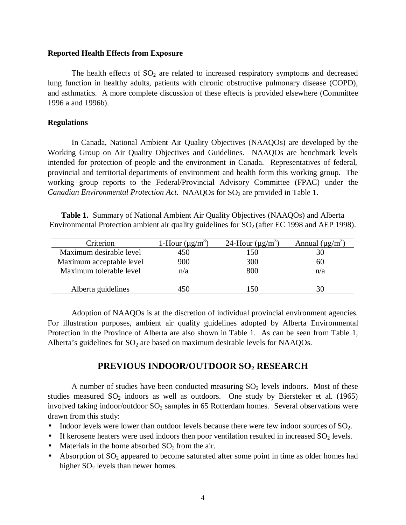#### **Reported Health Effects from Exposure**

The health effects of  $SO<sub>2</sub>$  are related to increased respiratory symptoms and decreased lung function in healthy adults, patients with chronic obstructive pulmonary disease (COPD), and asthmatics. A more complete discussion of these effects is provided elsewhere (Committee 1996 a and 1996b).

#### **Regulations**

In Canada, National Ambient Air Quality Objectives (NAAQOs) are developed by the Working Group on Air Quality Objectives and Guidelines. NAAQOs are benchmark levels intended for protection of people and the environment in Canada. Representatives of federal, provincial and territorial departments of environment and health form this working group. The working group reports to the Federal/Provincial Advisory Committee (FPAC) under the *Canadian Environmental Protection Act.* NAAQOs for SO<sub>2</sub> are provided in Table 1.

**Table 1.** Summary of National Ambient Air Quality Objectives (NAAQOs) and Alberta Environmental Protection ambient air quality guidelines for  $SO<sub>2</sub>$  (after EC 1998 and AEP 1998).

| Criterion                | 1-Hour $(\mu g/m^3)$ | 24-Hour $(\mu g/m^3)$ | Annual $(\mu g/m^3)$ |
|--------------------------|----------------------|-----------------------|----------------------|
| Maximum desirable level  | 450                  | 150                   |                      |
| Maximum acceptable level | 900                  | 300                   | 60                   |
| Maximum tolerable level  | n/a                  | 800                   | n/a                  |
|                          |                      |                       |                      |
| Alberta guidelines       | 450                  | 50                    |                      |

Adoption of NAAQOs is at the discretion of individual provincial environment agencies. For illustration purposes, ambient air quality guidelines adopted by Alberta Environmental Protection in the Province of Alberta are also shown in Table 1. As can be seen from Table 1, Alberta's guidelines for  $SO<sub>2</sub>$  are based on maximum desirable levels for NAAQOs.

## **PREVIOUS INDOOR/OUTDOOR SO2 RESEARCH**

A number of studies have been conducted measuring  $SO<sub>2</sub>$  levels indoors. Most of these studies measured  $SO_2$  indoors as well as outdoors. One study by Biersteker et al. (1965) involved taking indoor/outdoor  $SO_2$  samples in 65 Rotterdam homes. Several observations were drawn from this study:

- Indoor levels were lower than outdoor levels because there were few indoor sources of  $SO_2$ .
- If kerosene heaters were used indoors then poor ventilation resulted in increased  $SO_2$  levels.
- Materials in the home absorbed  $SO<sub>2</sub>$  from the air.
- Absorption of  $SO_2$  appeared to become saturated after some point in time as older homes had higher  $SO_2$  levels than newer homes.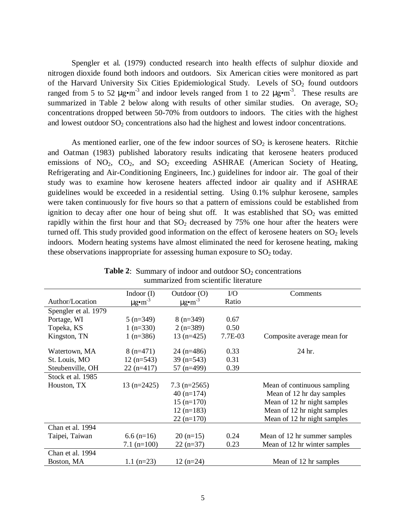Spengler et al*.* (1979) conducted research into health effects of sulphur dioxide and nitrogen dioxide found both indoors and outdoors. Six American cities were monitored as part of the Harvard University Six Cities Epidemiological Study. Levels of  $SO<sub>2</sub>$  found outdoors ranged from 5 to 52  $\mu$ g•m<sup>-3</sup> and indoor levels ranged from 1 to 22  $\mu$ g•m<sup>-3</sup>. These results are summarized in Table 2 below along with results of other similar studies. On average,  $SO<sub>2</sub>$ concentrations dropped between 50-70% from outdoors to indoors. The cities with the highest and lowest outdoor SO<sub>2</sub> concentrations also had the highest and lowest indoor concentrations.

As mentioned earlier, one of the few indoor sources of  $SO<sub>2</sub>$  is kerosene heaters. Ritchie and Oatman (1983) published laboratory results indicating that kerosene heaters produced emissions of NO<sub>2</sub>, CO<sub>2</sub>, and SO<sub>2</sub> exceeding ASHRAE (American Society of Heating, Refrigerating and Air-Conditioning Engineers, Inc.) guidelines for indoor air. The goal of their study was to examine how kerosene heaters affected indoor air quality and if ASHRAE guidelines would be exceeded in a residential setting. Using 0.1% sulphur kerosene, samples were taken continuously for five hours so that a pattern of emissions could be established from ignition to decay after one hour of being shut off. It was established that  $SO_2$  was emitted rapidly within the first hour and that  $SO<sub>2</sub>$  decreased by 75% one hour after the heaters were turned off. This study provided good information on the effect of kerosene heaters on  $SO_2$  levels indoors. Modern heating systems have almost eliminated the need for kerosene heating, making these observations inappropriate for assessing human exposure to  $SO<sub>2</sub>$  today.

|                      | Indoor $(I)$            | Outdoor $(O)$           | $VO$    | Comments                     |
|----------------------|-------------------------|-------------------------|---------|------------------------------|
| Author/Location      | $\mu$ g•m <sup>-3</sup> | $\mu$ g•m <sup>-3</sup> | Ratio   |                              |
| Spengler et al. 1979 |                         |                         |         |                              |
| Portage, WI          | $5(n=349)$              | $8(n=349)$              | 0.67    |                              |
| Topeka, KS           | $1(n=330)$              | $2(n=389)$              | 0.50    |                              |
| Kingston, TN         | 1 $(n=386)$             | $13(n=425)$             | 7.7E-03 | Composite average mean for   |
| Watertown, MA        | $8(n=471)$              | $24$ (n=486)            | 0.33    | 24 hr.                       |
| St. Louis, MO        | $12$ (n=543)            | $39$ (n=543)            | 0.31    |                              |
| Steubenville, OH     | $22(n=417)$             | $57$ (n=499)            | 0.39    |                              |
| Stock et al. 1985    |                         |                         |         |                              |
| Houston, TX          | $13(n=2425)$            | $7.3$ (n=2565)          |         | Mean of continuous sampling  |
|                      |                         | $40(n=174)$             |         | Mean of 12 hr day samples    |
|                      |                         | $15$ (n= $170$ )        |         | Mean of 12 hr night samples  |
|                      |                         | $12(n=183)$             |         | Mean of 12 hr night samples  |
|                      |                         | $22(n=170)$             |         | Mean of 12 hr night samples  |
| Chan et al. 1994     |                         |                         |         |                              |
| Taipei, Taiwan       | $6.6$ (n=16)            | $20(n=15)$              | 0.24    | Mean of 12 hr summer samples |
|                      | $7.1$ (n=100)           | $22(n=37)$              | 0.23    | Mean of 12 hr winter samples |
| Chan et al. 1994     |                         |                         |         |                              |
| Boston, MA           | 1.1 $(n=23)$            | $12(n=24)$              |         | Mean of 12 hr samples        |

**Table 2:** Summary of indoor and outdoor  $SO_2$  concentrations summarized from scientific literature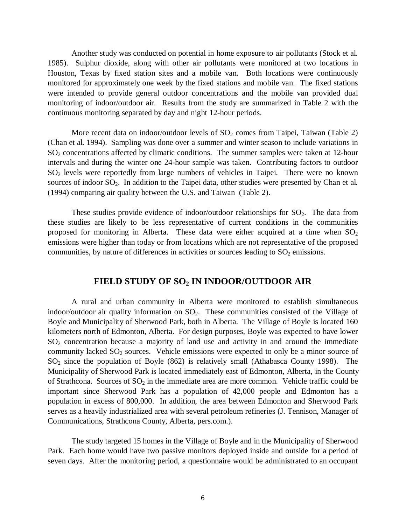Another study was conducted on potential in home exposure to air pollutants (Stock et al*.* 1985). Sulphur dioxide, along with other air pollutants were monitored at two locations in Houston, Texas by fixed station sites and a mobile van. Both locations were continuously monitored for approximately one week by the fixed stations and mobile van. The fixed stations were intended to provide general outdoor concentrations and the mobile van provided dual monitoring of indoor/outdoor air. Results from the study are summarized in Table 2 with the continuous monitoring separated by day and night 12-hour periods.

More recent data on indoor/outdoor levels of  $SO<sub>2</sub>$  comes from Taipei, Taiwan (Table 2) (Chan et al*.* 1994). Sampling was done over a summer and winter season to include variations in SO<sub>2</sub> concentrations affected by climatic conditions. The summer samples were taken at 12-hour intervals and during the winter one 24-hour sample was taken. Contributing factors to outdoor SO<sub>2</sub> levels were reportedly from large numbers of vehicles in Taipei. There were no known sources of indoor SO<sub>2</sub>. In addition to the Taipei data, other studies were presented by Chan et al. (1994) comparing air quality between the U.S. and Taiwan (Table 2).

These studies provide evidence of indoor/outdoor relationships for  $SO_2$ . The data from these studies are likely to be less representative of current conditions in the communities proposed for monitoring in Alberta. These data were either acquired at a time when  $SO<sub>2</sub>$ emissions were higher than today or from locations which are not representative of the proposed communities, by nature of differences in activities or sources leading to  $SO<sub>2</sub>$  emissions.

## **FIELD STUDY OF SO2 IN INDOOR/OUTDOOR AIR**

A rural and urban community in Alberta were monitored to establish simultaneous indoor/outdoor air quality information on  $SO_2$ . These communities consisted of the Village of Boyle and Municipality of Sherwood Park, both in Alberta. The Village of Boyle is located 160 kilometers north of Edmonton, Alberta. For design purposes, Boyle was expected to have lower SO2 concentration because a majority of land use and activity in and around the immediate community lacked  $SO_2$  sources. Vehicle emissions were expected to only be a minor source of  $SO<sub>2</sub>$  since the population of Boyle (862) is relatively small (Athabasca County 1998). The Municipality of Sherwood Park is located immediately east of Edmonton, Alberta, in the County of Strathcona. Sources of  $SO_2$  in the immediate area are more common. Vehicle traffic could be important since Sherwood Park has a population of 42,000 people and Edmonton has a population in excess of 800,000. In addition, the area between Edmonton and Sherwood Park serves as a heavily industrialized area with several petroleum refineries (J. Tennison, Manager of Communications, Strathcona County, Alberta, pers.com.).

The study targeted 15 homes in the Village of Boyle and in the Municipality of Sherwood Park. Each home would have two passive monitors deployed inside and outside for a period of seven days. After the monitoring period, a questionnaire would be administrated to an occupant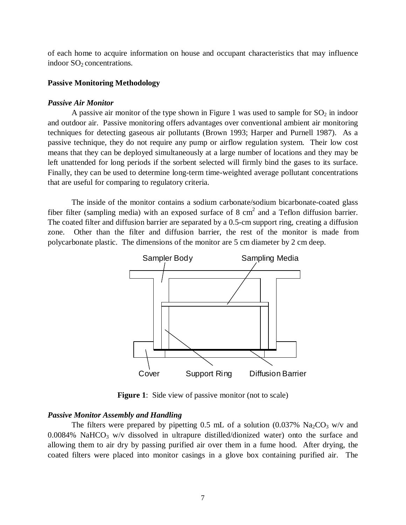of each home to acquire information on house and occupant characteristics that may influence indoor  $SO<sub>2</sub>$  concentrations.

#### **Passive Monitoring Methodology**

#### *Passive Air Monitor*

A passive air monitor of the type shown in Figure 1 was used to sample for  $SO_2$  in indoor and outdoor air. Passive monitoring offers advantages over conventional ambient air monitoring techniques for detecting gaseous air pollutants (Brown 1993; Harper and Purnell 1987). As a passive technique, they do not require any pump or airflow regulation system. Their low cost means that they can be deployed simultaneously at a large number of locations and they may be left unattended for long periods if the sorbent selected will firmly bind the gases to its surface. Finally, they can be used to determine long-term time-weighted average pollutant concentrations that are useful for comparing to regulatory criteria.

The inside of the monitor contains a sodium carbonate/sodium bicarbonate-coated glass fiber filter (sampling media) with an exposed surface of 8 cm<sup>2</sup> and a Teflon diffusion barrier. The coated filter and diffusion barrier are separated by a 0.5-cm support ring, creating a diffusion zone. Other than the filter and diffusion barrier, the rest of the monitor is made from polycarbonate plastic. The dimensions of the monitor are 5 cm diameter by 2 cm deep.



**Figure 1:** Side view of passive monitor (not to scale)

## *Passive Monitor Assembly and Handling*

The filters were prepared by pipetting 0.5 mL of a solution (0.037%  $\text{Na}_2\text{CO}_3$  w/v and  $0.0084\%$  NaHCO<sub>3</sub> w/v dissolved in ultrapure distilled/dionized water) onto the surface and allowing them to air dry by passing purified air over them in a fume hood. After drying, the coated filters were placed into monitor casings in a glove box containing purified air. The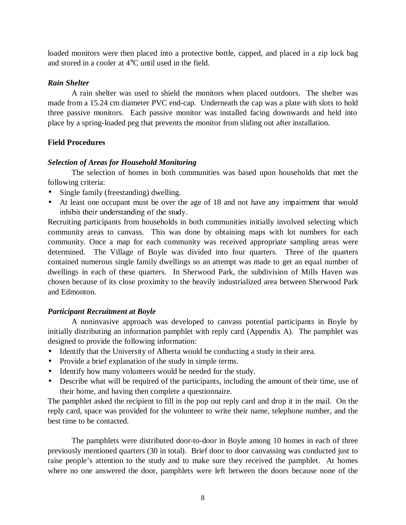loaded monitors were then placed into a protective bottle, capped, and placed in a zip lock bag and stored in a cooler at 4°C until used in the field.

## *Rain Shelter*

A rain shelter was used to shield the monitors when placed outdoors. The shelter was made from a 15.24 cm diameter PVC end-cap. Underneath the cap was a plate with slots to hold three passive monitors. Each passive monitor was installed facing downwards and held into place by a spring-loaded peg that prevents the monitor from sliding out after installation.

## **Field Procedures**

## *Selection of Areas for Household Monitoring*

The selection of homes in both communities was based upon households that met the following criteria:

- Single family (freestanding) dwelling.
- At least one occupant must be over the age of 18 and not have any impairment that would inhibit their understanding of the study.

Recruiting participants from households in both communities initially involved selecting which community areas to canvass. This was done by obtaining maps with lot numbers for each community. Once a map for each community was received appropriate sampling areas were determined. The Village of Boyle was divided into four quarters. Three of the quarters contained numerous single family dwellings so an attempt was made to get an equal number of dwellings in each of these quarters. In Sherwood Park, the subdivision of Mills Haven was chosen because of its close proximity to the heavily industrialized area between Sherwood Park and Edmonton.

## *Participant Recruitment at Boyle*

A noninvasive approach was developed to canvass potential participants in Boyle by initially distributing an information pamphlet with reply card (Appendix A). The pamphlet was designed to provide the following information:

- Identify that the University of Alberta would be conducting a study in their area.
- Provide a brief explanation of the study in simple terms.
- Identify how many volunteers would be needed for the study.
- Describe what will be required of the participants, including the amount of their time, use of their home, and having then complete a questionnaire.

The pamphlet asked the recipient to fill in the pop out reply card and drop it in the mail. On the reply card, space was provided for the volunteer to write their name, telephone number, and the best time to be contacted.

The pamphlets were distributed door-to-door in Boyle among 10 homes in each of three previously mentioned quarters (30 in total). Brief door to door canvassing was conducted just to raise people's attention to the study and to make sure they received the pamphlet. At homes where no one answered the door, pamphlets were left between the doors because none of the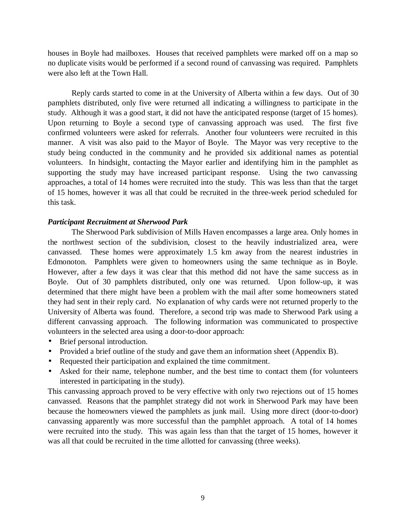houses in Boyle had mailboxes. Houses that received pamphlets were marked off on a map so no duplicate visits would be performed if a second round of canvassing was required. Pamphlets were also left at the Town Hall.

Reply cards started to come in at the University of Alberta within a few days. Out of 30 pamphlets distributed, only five were returned all indicating a willingness to participate in the study. Although it was a good start, it did not have the anticipated response (target of 15 homes). Upon returning to Boyle a second type of canvassing approach was used. The first five confirmed volunteers were asked for referrals. Another four volunteers were recruited in this manner. A visit was also paid to the Mayor of Boyle. The Mayor was very receptive to the study being conducted in the community and he provided six additional names as potential volunteers. In hindsight, contacting the Mayor earlier and identifying him in the pamphlet as supporting the study may have increased participant response. Using the two canvassing approaches, a total of 14 homes were recruited into the study. This was less than that the target of 15 homes, however it was all that could be recruited in the three-week period scheduled for this task.

## *Participant Recruitment at Sherwood Park*

The Sherwood Park subdivision of Mills Haven encompasses a large area. Only homes in the northwest section of the subdivision, closest to the heavily industrialized area, were canvassed. These homes were approximately 1.5 km away from the nearest industries in Edmonoton. Pamphlets were given to homeowners using the same technique as in Boyle. However, after a few days it was clear that this method did not have the same success as in Boyle. Out of 30 pamphlets distributed, only one was returned. Upon follow-up, it was determined that there might have been a problem with the mail after some homeowners stated they had sent in their reply card. No explanation of why cards were not returned properly to the University of Alberta was found. Therefore, a second trip was made to Sherwood Park using a different canvassing approach. The following information was communicated to prospective volunteers in the selected area using a door-to-door approach:

- Brief personal introduction.
- Provided a brief outline of the study and gave them an information sheet (Appendix B).
- Requested their participation and explained the time commitment.
- Asked for their name, telephone number, and the best time to contact them (for volunteers interested in participating in the study).

This canvassing approach proved to be very effective with only two rejections out of 15 homes canvassed. Reasons that the pamphlet strategy did not work in Sherwood Park may have been because the homeowners viewed the pamphlets as junk mail. Using more direct (door-to-door) canvassing apparently was more successful than the pamphlet approach. A total of 14 homes were recruited into the study. This was again less than that the target of 15 homes, however it was all that could be recruited in the time allotted for canvassing (three weeks).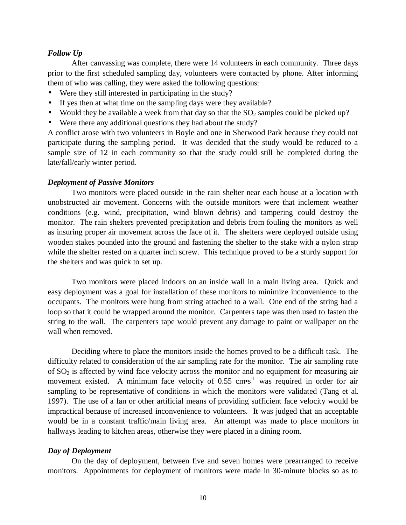#### *Follow Up*

After canvassing was complete, there were 14 volunteers in each community. Three days prior to the first scheduled sampling day, volunteers were contacted by phone. After informing them of who was calling, they were asked the following questions:

- Were they still interested in participating in the study?
- If yes then at what time on the sampling days were they available?
- Would they be available a week from that day so that the  $SO_2$  samples could be picked up?
- Were there any additional questions they had about the study?

A conflict arose with two volunteers in Boyle and one in Sherwood Park because they could not participate during the sampling period. It was decided that the study would be reduced to a sample size of 12 in each community so that the study could still be completed during the late/fall/early winter period.

#### *Deployment of Passive Monitors*

Two monitors were placed outside in the rain shelter near each house at a location with unobstructed air movement. Concerns with the outside monitors were that inclement weather conditions (e.g. wind, precipitation, wind blown debris) and tampering could destroy the monitor. The rain shelters prevented precipitation and debris from fouling the monitors as well as insuring proper air movement across the face of it. The shelters were deployed outside using wooden stakes pounded into the ground and fastening the shelter to the stake with a nylon strap while the shelter rested on a quarter inch screw. This technique proved to be a sturdy support for the shelters and was quick to set up.

Two monitors were placed indoors on an inside wall in a main living area. Quick and easy deployment was a goal for installation of these monitors to minimize inconvenience to the occupants. The monitors were hung from string attached to a wall. One end of the string had a loop so that it could be wrapped around the monitor. Carpenters tape was then used to fasten the string to the wall. The carpenters tape would prevent any damage to paint or wallpaper on the wall when removed.

Deciding where to place the monitors inside the homes proved to be a difficult task. The difficulty related to consideration of the air sampling rate for the monitor. The air sampling rate of  $SO<sub>2</sub>$  is affected by wind face velocity across the monitor and no equipment for measuring air movement existed. A minimum face velocity of  $0.55 \, \text{cm} \cdot \text{s}^{-1}$  was required in order for air sampling to be representative of conditions in which the monitors were validated (Tang et al. 1997). The use of a fan or other artificial means of providing sufficient face velocity would be impractical because of increased inconvenience to volunteers. It was judged that an acceptable would be in a constant traffic/main living area. An attempt was made to place monitors in hallways leading to kitchen areas, otherwise they were placed in a dining room.

#### *Day of Deployment*

On the day of deployment, between five and seven homes were prearranged to receive monitors. Appointments for deployment of monitors were made in 30-minute blocks so as to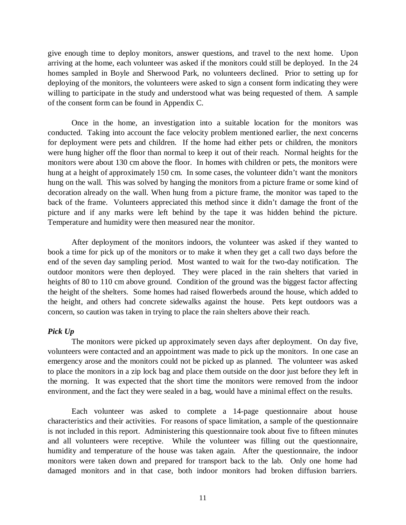give enough time to deploy monitors, answer questions, and travel to the next home. Upon arriving at the home, each volunteer was asked if the monitors could still be deployed. In the 24 homes sampled in Boyle and Sherwood Park, no volunteers declined. Prior to setting up for deploying of the monitors, the volunteers were asked to sign a consent form indicating they were willing to participate in the study and understood what was being requested of them. A sample of the consent form can be found in Appendix C.

Once in the home, an investigation into a suitable location for the monitors was conducted. Taking into account the face velocity problem mentioned earlier, the next concerns for deployment were pets and children. If the home had either pets or children, the monitors were hung higher off the floor than normal to keep it out of their reach. Normal heights for the monitors were about 130 cm above the floor. In homes with children or pets, the monitors were hung at a height of approximately 150 cm. In some cases, the volunteer didn't want the monitors hung on the wall. This was solved by hanging the monitors from a picture frame or some kind of decoration already on the wall. When hung from a picture frame, the monitor was taped to the back of the frame. Volunteers appreciated this method since it didn't damage the front of the picture and if any marks were left behind by the tape it was hidden behind the picture. Temperature and humidity were then measured near the monitor.

After deployment of the monitors indoors, the volunteer was asked if they wanted to book a time for pick up of the monitors or to make it when they get a call two days before the end of the seven day sampling period. Most wanted to wait for the two-day notification. The outdoor monitors were then deployed. They were placed in the rain shelters that varied in heights of 80 to 110 cm above ground. Condition of the ground was the biggest factor affecting the height of the shelters. Some homes had raised flowerbeds around the house, which added to the height, and others had concrete sidewalks against the house. Pets kept outdoors was a concern, so caution was taken in trying to place the rain shelters above their reach.

## *Pick Up*

The monitors were picked up approximately seven days after deployment. On day five, volunteers were contacted and an appointment was made to pick up the monitors. In one case an emergency arose and the monitors could not be picked up as planned. The volunteer was asked to place the monitors in a zip lock bag and place them outside on the door just before they left in the morning. It was expected that the short time the monitors were removed from the indoor environment, and the fact they were sealed in a bag, would have a minimal effect on the results.

Each volunteer was asked to complete a 14-page questionnaire about house characteristics and their activities. For reasons of space limitation, a sample of the questionnaire is not included in this report. Administering this questionnaire took about five to fifteen minutes and all volunteers were receptive. While the volunteer was filling out the questionnaire, humidity and temperature of the house was taken again. After the questionnaire, the indoor monitors were taken down and prepared for transport back to the lab. Only one home had damaged monitors and in that case, both indoor monitors had broken diffusion barriers.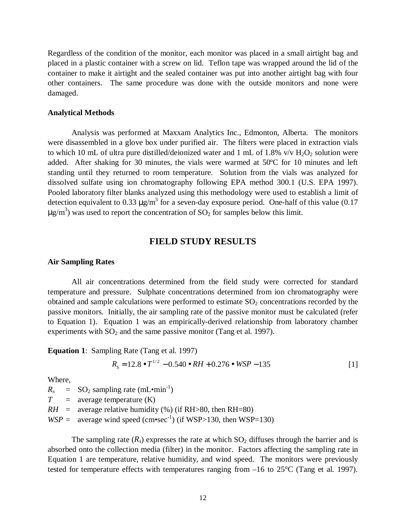Regardless of the condition of the monitor, each monitor was placed in a small airtight bag and placed in a plastic container with a screw on lid. Teflon tape was wrapped around the lid of the container to make it airtight and the sealed container was put into another airtight bag with four other containers. The same procedure was done with the outside monitors and none were damaged.

#### **Analytical Methods**

Analysis was performed at Maxxam Analytics Inc., Edmonton, Alberta. The monitors were disassembled in a glove box under purified air. The filters were placed in extraction vials to which 10 mL of ultra pure distilled/deionized water and 1 mL of 1.8% v/v  $H_2O_2$  solution were added. After shaking for 30 minutes, the vials were warmed at 50ºC for 10 minutes and left standing until they returned to room temperature. Solution from the vials was analyzed for dissolved sulfate using ion chromatography following EPA method 300.1 (U.S. EPA 1997). Pooled laboratory filter blanks analyzed using this methodology were used to establish a limit of detection equivalent to 0.33  $\mu$ g/m<sup>3</sup> for a seven-day exposure period. One-half of this value (0.17  $\mu$ g/m<sup>3</sup>) was used to report the concentration of SO<sub>2</sub> for samples below this limit.

## **FIELD STUDY RESULTS**

#### **Air Sampling Rates**

All air concentrations determined from the field study were corrected for standard temperature and pressure. Sulphate concentrations determined from ion chromatography were obtained and sample calculations were performed to estimate  $SO<sub>2</sub>$  concentrations recorded by the passive monitors. Initially, the air sampling rate of the passive monitor must be calculated (refer to Equation 1). Equation 1 was an empirically-derived relationship from laboratory chamber experiments with  $SO_2$  and the same passive monitor (Tang et al. 1997).

**Equation 1**: Sampling Rate (Tang et al. 1997)

$$
R_s = 12.8 \bullet T^{1/2} - 0.540 \bullet RH + 0.276 \bullet WSP - 135
$$
 [1]

Where,

 $R_s$  = SO<sub>2</sub> sampling rate (mL•min<sup>-1</sup>)  $T =$  average temperature  $(K)$ *RH* = average relative humidity  $%$  (if RH $>80$ , then RH=80)  $WSP =$  average wind speed (cm•sec<sup>-1</sup>) (if WSP>130, then WSP=130)

The sampling rate  $(R_s)$  expresses the rate at which  $SO_2$  diffuses through the barrier and is absorbed onto the collection media (filter) in the monitor. Factors affecting the sampling rate in Equation 1 are temperature, relative humidity, and wind speed. The monitors were previously tested for temperature effects with temperatures ranging from –16 to 25°C (Tang et al. 1997).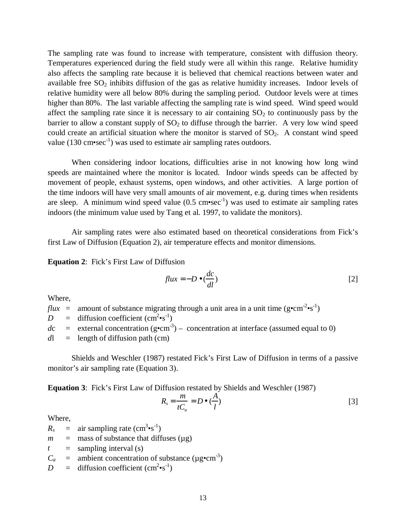The sampling rate was found to increase with temperature, consistent with diffusion theory. Temperatures experienced during the field study were all within this range. Relative humidity also affects the sampling rate because it is believed that chemical reactions between water and available free  $SO_2$  inhibits diffusion of the gas as relative humidity increases. Indoor levels of relative humidity were all below 80% during the sampling period. Outdoor levels were at times higher than 80%. The last variable affecting the sampling rate is wind speed. Wind speed would affect the sampling rate since it is necessary to air containing  $SO_2$  to continuously pass by the barrier to allow a constant supply of  $SO<sub>2</sub>$  to diffuse through the barrier. A very low wind speed could create an artificial situation where the monitor is starved of  $SO<sub>2</sub>$ . A constant wind speed value (130 cm $\text{vec}^{-1}$ ) was used to estimate air sampling rates outdoors.

When considering indoor locations, difficulties arise in not knowing how long wind speeds are maintained where the monitor is located. Indoor winds speeds can be affected by movement of people, exhaust systems, open windows, and other activities. A large portion of the time indoors will have very small amounts of air movement, e.g. during times when residents are sleep. A minimum wind speed value  $(0.5 \text{ cm} \text{-} \text{sec}^{-1})$  was used to estimate air sampling rates indoors (the minimum value used by Tang et al. 1997, to validate the monitors).

Air sampling rates were also estimated based on theoretical considerations from Fick's first Law of Diffusion (Equation 2), air temperature effects and monitor dimensions.

**Equation 2**: Fick's First Law of Diffusion

$$
flux = -D \bullet \left(\frac{dc}{dl}\right) \tag{2}
$$

Where,

*flux* = amount of substance migrating through a unit area in a unit time ( $g \cdot cm^{-2} \cdot s^{-1}$ )  $D = \text{diffusion coefficient (cm}^2 \cdot \text{s}^{-1})$  $dc =$  external concentration (g•cm<sup>-3</sup>) – concentration at interface (assumed equal to 0)  $dl =$  length of diffusion path (cm)

Shields and Weschler (1987) restated Fick's First Law of Diffusion in terms of a passive monitor's air sampling rate (Equation 3).

**Equation 3**: Fick's First Law of Diffusion restated by Shields and Weschler (1987)

$$
R_s = \frac{m}{tC_a} = D \bullet (\frac{A}{l})
$$
 [3]

Where,

 $R_s$  = air sampling rate (cm<sup>3</sup>•s<sup>-1</sup>)

- $m =$  mass of substance that diffuses ( $\mu$ g)
- $t =$  sampling interval (s)
- $C_a$  = ambient concentration of substance ( $\mu$ g•cm<sup>-3</sup>)
- $D = \text{diffusion coefficient (cm}^2 \cdot \text{s}^{-1})$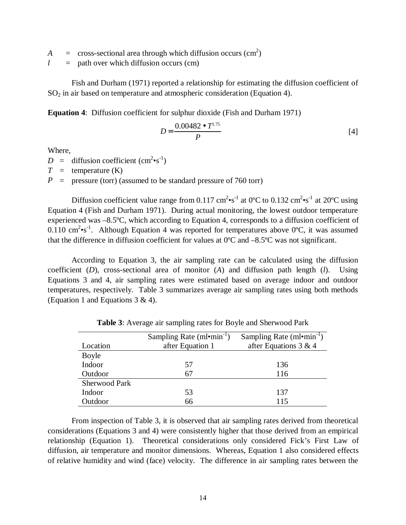- $A = \csc$  cross-sectional area through which diffusion occurs  $(\text{cm}^2)$
- $l =$  path over which diffusion occurs (cm)

Fish and Durham (1971) reported a relationship for estimating the diffusion coefficient of  $SO<sub>2</sub>$  in air based on temperature and atmospheric consideration (Equation 4).

**Equation 4**: Diffusion coefficient for sulphur dioxide (Fish and Durham 1971)

$$
D = \frac{0.00482 \bullet T^{1.75}}{P}
$$
 [4]

Where,

 $D = \text{diffusion coefficient } (\text{cm}^2 \cdot \text{s}^{-1})$ 

 $T =$  temperature (K)

 $P =$  pressure (torr) (assumed to be standard pressure of 760 torr)

Diffusion coefficient value range from 0.117 cm<sup>2</sup> $\cdot$ s<sup>-1</sup> at 0°C to 0.132 cm<sup>2</sup> $\cdot$ s<sup>-1</sup> at 20°C using Equation 4 (Fish and Durham 1971). During actual monitoring, the lowest outdoor temperature experienced was –8.5ºC, which according to Equation 4, corresponds to a diffusion coefficient of 0.110 cm<sup>2</sup>•s<sup>-1</sup>. Although Equation 4 was reported for temperatures above 0°C, it was assumed that the difference in diffusion coefficient for values at 0ºC and –8.5ºC was not significant.

According to Equation 3, the air sampling rate can be calculated using the diffusion coefficient (*D*), cross-sectional area of monitor (*A*) and diffusion path length (*l*). Using Equations 3 and 4, air sampling rates were estimated based on average indoor and outdoor temperatures, respectively. Table 3 summarizes average air sampling rates using both methods (Equation 1 and Equations  $3 \& 4$ ).

| Location             | Sampling Rate $(ml$ <sup>-</sup> $min^{-1}$ )<br>after Equation 1 | Sampling Rate $(ml$ <sup>-</sup> min <sup>-1</sup> )<br>after Equations 3 & 4 |  |
|----------------------|-------------------------------------------------------------------|-------------------------------------------------------------------------------|--|
|                      |                                                                   |                                                                               |  |
| <b>Boyle</b>         |                                                                   |                                                                               |  |
| Indoor               | 57                                                                | 136                                                                           |  |
| Outdoor              | 67                                                                | 116                                                                           |  |
| <b>Sherwood Park</b> |                                                                   |                                                                               |  |
| Indoor               | 53                                                                | 137                                                                           |  |
| Outdoor              | 66                                                                | 115                                                                           |  |

**Table 3**: Average air sampling rates for Boyle and Sherwood Park

From inspection of Table 3, it is observed that air sampling rates derived from theoretical considerations (Equations 3 and 4) were consistently higher that those derived from an empirical relationship (Equation 1). Theoretical considerations only considered Fick's First Law of diffusion, air temperature and monitor dimensions. Whereas, Equation 1 also considered effects of relative humidity and wind (face) velocity. The difference in air sampling rates between the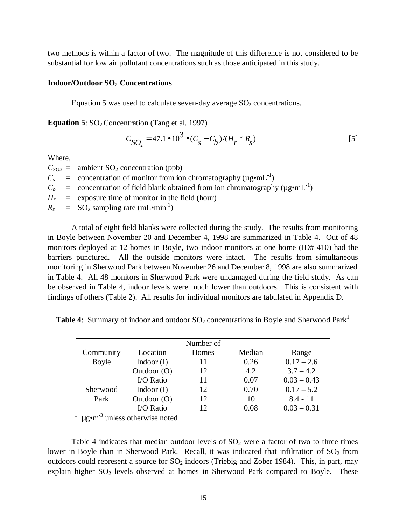two methods is within a factor of two. The magnitude of this difference is not considered to be substantial for low air pollutant concentrations such as those anticipated in this study.

#### **Indoor/Outdoor SO2 Concentrations**

Equation 5 was used to calculate seven-day average  $SO<sub>2</sub>$  concentrations.

**Equation 5**: SO<sub>2</sub> Concentration (Tang et al. 1997)

$$
C_{SO_2} = 47.1 \bullet 10^3 \bullet (C_s - C_b)/(H_r * R_s)
$$

Where,

 $C_{SO2}$  = ambient  $SO_2$  concentration (ppb)  $C_s$  = concentration of monitor from ion chromatography ( $\mu$ g•mL<sup>-1</sup>)  $C_b$  = concentration of field blank obtained from ion chromatography ( $\mu$ g•mL<sup>-1</sup>)  $H_r$  = exposure time of monitor in the field (hour)  $R_s$  = SO<sub>2</sub> sampling rate (mL•min<sup>-1</sup>)

A total of eight field blanks were collected during the study. The results from monitoring in Boyle between November 20 and December 4, 1998 are summarized in Table 4. Out of 48 monitors deployed at 12 homes in Boyle, two indoor monitors at one home (ID# 410) had the barriers punctured. All the outside monitors were intact. The results from simultaneous monitoring in Sherwood Park between November 26 and December 8, 1998 are also summarized in Table 4. All 48 monitors in Sherwood Park were undamaged during the field study. As can be observed in Table 4, indoor levels were much lower than outdoors. This is consistent with findings of others (Table 2). All results for individual monitors are tabulated in Appendix D.

**Table 4:** Summary of indoor and outdoor  $SO_2$  concentrations in Boyle and Sherwood Park<sup>1</sup>

|           |               | Number of |        |               |
|-----------|---------------|-----------|--------|---------------|
| Community | Location      | Homes     | Median | Range         |
| Boyle     | Indoor $(I)$  | 11        | 0.26   | $0.17 - 2.6$  |
|           | Outdoor $(O)$ | 12        | 4.2    | $3.7 - 4.2$   |
|           | I/O Ratio     | 11        | 0.07   | $0.03 - 0.43$ |
| Sherwood  | Indoor $(I)$  | 12        | 0.70   | $0.17 - 5.2$  |
| Park      | Outdoor $(O)$ | 12        | 10     | $8.4 - 11$    |
|           | I/O Ratio     | 12        | 0.08   | $0.03 - 0.31$ |

 $\frac{1}{2}$  µg•m<sup>-3</sup> unless otherwise noted

Table 4 indicates that median outdoor levels of  $SO<sub>2</sub>$  were a factor of two to three times lower in Boyle than in Sherwood Park. Recall, it was indicated that infiltration of  $SO_2$  from outdoors could represent a source for  $SO_2$  indoors (Triebig and Zober 1984). This, in part, may explain higher  $SO_2$  levels observed at homes in Sherwood Park compared to Boyle. These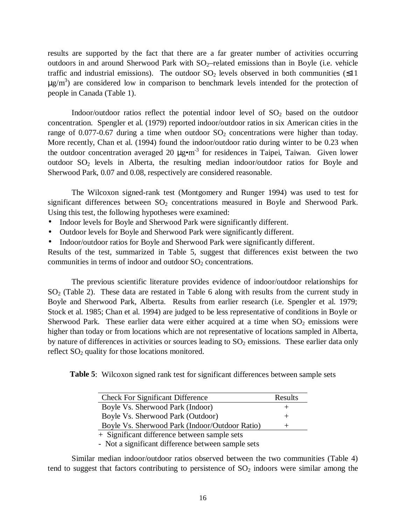results are supported by the fact that there are a far greater number of activities occurring outdoors in and around Sherwood Park with  $SO_2$ –related emissions than in Boyle (i.e. vehicle traffic and industrial emissions). The outdoor  $SO_2$  levels observed in both communities ( $\leq 11$ )  $\mu$ g/m<sup>3</sup>) are considered low in comparison to benchmark levels intended for the protection of people in Canada (Table 1).

Indoor/outdoor ratios reflect the potential indoor level of  $SO<sub>2</sub>$  based on the outdoor concentration. Spengler et al. (1979) reported indoor/outdoor ratios in six American cities in the range of 0.077-0.67 during a time when outdoor  $SO<sub>2</sub>$  concentrations were higher than today. More recently, Chan et al. (1994) found the indoor/outdoor ratio during winter to be 0.23 when the outdoor concentration averaged 20  $\mu$ g $\cdot$ m<sup>-3</sup> for residences in Taipei, Taiwan. Given lower outdoor  $SO_2$  levels in Alberta, the resulting median indoor/outdoor ratios for Boyle and Sherwood Park, 0.07 and 0.08, respectively are considered reasonable.

The Wilcoxon signed-rank test (Montgomery and Runger 1994) was used to test for significant differences between  $SO<sub>2</sub>$  concentrations measured in Boyle and Sherwood Park. Using this test, the following hypotheses were examined:

- Indoor levels for Boyle and Sherwood Park were significantly different.
- Outdoor levels for Boyle and Sherwood Park were significantly different.
- Indoor/outdoor ratios for Boyle and Sherwood Park were significantly different.

Results of the test, summarized in Table 5, suggest that differences exist between the two communities in terms of indoor and outdoor  $SO<sub>2</sub>$  concentrations.

The previous scientific literature provides evidence of indoor/outdoor relationships for  $SO<sub>2</sub>$  (Table 2). These data are restated in Table 6 along with results from the current study in Boyle and Sherwood Park, Alberta. Results from earlier research (i.e. Spengler et al. 1979; Stock et al. 1985; Chan et al. 1994) are judged to be less representative of conditions in Boyle or Sherwood Park. These earlier data were either acquired at a time when  $SO_2$  emissions were higher than today or from locations which are not representative of locations sampled in Alberta, by nature of differences in activities or sources leading to  $SO_2$  emissions. These earlier data only reflect  $SO<sub>2</sub>$  quality for those locations monitored.

**Table 5**: Wilcoxon signed rank test for significant differences between sample sets

| <b>Check For Significant Difference</b>        | Results |
|------------------------------------------------|---------|
| Boyle Vs. Sherwood Park (Indoor)               | $^+$    |
| Boyle Vs. Sherwood Park (Outdoor)              | +       |
| Boyle Vs. Sherwood Park (Indoor/Outdoor Ratio) | $^+$    |
| + Significant difference between sample sets   |         |

- Not a significant difference between sample sets

Similar median indoor/outdoor ratios observed between the two communities (Table 4) tend to suggest that factors contributing to persistence of  $SO<sub>2</sub>$  indoors were similar among the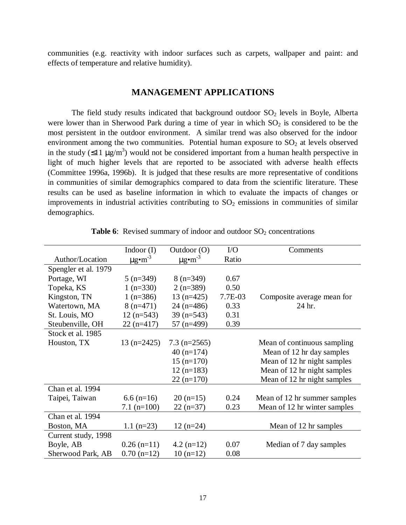communities (e.g. reactivity with indoor surfaces such as carpets, wallpaper and paint: and effects of temperature and relative humidity).

## **MANAGEMENT APPLICATIONS**

The field study results indicated that background outdoor  $SO<sub>2</sub>$  levels in Boyle, Alberta were lower than in Sherwood Park during a time of year in which  $SO_2$  is considered to be the most persistent in the outdoor environment. A similar trend was also observed for the indoor environment among the two communities. Potential human exposure to  $SO<sub>2</sub>$  at levels observed in the study ( $\leq$ 11  $\mu$ g/m<sup>3</sup>) would not be considered important from a human health perspective in light of much higher levels that are reported to be associated with adverse health effects (Committee 1996a, 1996b). It is judged that these results are more representative of conditions in communities of similar demographics compared to data from the scientific literature. These results can be used as baseline information in which to evaluate the impacts of changes or improvements in industrial activities contributing to  $SO<sub>2</sub>$  emissions in communities of similar demographics.

|                      | Indoor $(I)$            | Outdoor $(O)$           | I/O     | Comments                     |
|----------------------|-------------------------|-------------------------|---------|------------------------------|
| Author/Location      | $\mu$ g•m <sup>-3</sup> | $\mu$ g•m <sup>-3</sup> | Ratio   |                              |
| Spengler et al. 1979 |                         |                         |         |                              |
| Portage, WI          | $5(n=349)$              | $8(n=349)$              | 0.67    |                              |
| Topeka, KS           | $1(n=330)$              | $2(n=389)$              | 0.50    |                              |
| Kingston, TN         | 1 $(n=386)$             | $13(n=425)$             | 7.7E-03 | Composite average mean for   |
| Watertown, MA        | $8(n=471)$              | $24(n=486)$             | 0.33    | 24 hr.                       |
| St. Louis, MO        | $12$ (n=543)            | $39$ (n=543)            | 0.31    |                              |
| Steubenville, OH     | $22(n=417)$             | $57$ (n=499)            | 0.39    |                              |
| Stock et al. 1985    |                         |                         |         |                              |
| Houston, TX          | $13(n=2425)$            | $7.3$ (n=2565)          |         | Mean of continuous sampling  |
|                      |                         | $40(n=174)$             |         | Mean of 12 hr day samples    |
|                      |                         | $15(n=170)$             |         | Mean of 12 hr night samples  |
|                      |                         | $12(n=183)$             |         | Mean of 12 hr night samples  |
|                      |                         | $22(n=170)$             |         | Mean of 12 hr night samples  |
| Chan et al. 1994     |                         |                         |         |                              |
| Taipei, Taiwan       | $6.6$ (n=16)            | $20(n=15)$              | 0.24    | Mean of 12 hr summer samples |
|                      | $7.1$ (n=100)           | $22(n=37)$              | 0.23    | Mean of 12 hr winter samples |
| Chan et al. 1994     |                         |                         |         |                              |
| Boston, MA           | $1.1$ (n=23)            | $12(n=24)$              |         | Mean of 12 hr samples        |
| Current study, 1998  |                         |                         |         |                              |
| Boyle, AB            | $0.26$ (n=11)           | $4.2$ (n=12)            | 0.07    | Median of 7 day samples      |
| Sherwood Park, AB    | $0.70$ (n=12)           | $10(n=12)$              | 0.08    |                              |

**Table 6**: Revised summary of indoor and outdoor  $SO_2$  concentrations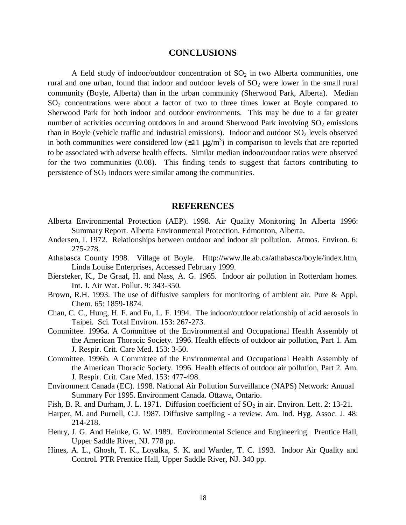## **CONCLUSIONS**

A field study of indoor/outdoor concentration of  $SO<sub>2</sub>$  in two Alberta communities, one rural and one urban, found that indoor and outdoor levels of  $SO<sub>2</sub>$  were lower in the small rural community (Boyle, Alberta) than in the urban community (Sherwood Park, Alberta). Median  $SO<sub>2</sub>$  concentrations were about a factor of two to three times lower at Boyle compared to Sherwood Park for both indoor and outdoor environments. This may be due to a far greater number of activities occurring outdoors in and around Sherwood Park involving  $SO_2$  emissions than in Boyle (vehicle traffic and industrial emissions). Indoor and outdoor  $SO_2$  levels observed in both communities were considered low  $(\leq 11 \mu g/m^3)$  in comparison to levels that are reported to be associated with adverse health effects. Similar median indoor/outdoor ratios were observed for the two communities (0.08). This finding tends to suggest that factors contributing to persistence of  $SO<sub>2</sub>$  indoors were similar among the communities.

## **REFERENCES**

- Alberta Environmental Protection (AEP). 1998. Air Quality Monitoring In Alberta 1996: Summary Report. Alberta Environmental Protection. Edmonton, Alberta.
- Andersen, I. 1972. Relationships between outdoor and indoor air pollution. Atmos. Environ. 6: 275-278.
- Athabasca County 1998. Village of Boyle. Http://www.lle.ab.ca/athabasca/boyle/index.htm, Linda Louise Enterprises, Accessed February 1999.
- Biersteker, K., De Graaf, H. and Nass, A. G. 1965. Indoor air pollution in Rotterdam homes. Int. J. Air Wat. Pollut. 9: 343-350.
- Brown, R.H. 1993. The use of diffusive samplers for monitoring of ambient air. Pure & Appl. Chem. 65: 1859-1874.
- Chan, C. C., Hung, H. F. and Fu, L. F. 1994. The indoor/outdoor relationship of acid aerosols in Taipei. Sci. Total Environ. 153: 267-273.
- Committee. 1996a. A Committee of the Environmental and Occupational Health Assembly of the American Thoracic Society. 1996. Health effects of outdoor air pollution, Part 1. Am. J. Respir. Crit. Care Med. 153: 3-50.
- Committee. 1996b. A Committee of the Environmental and Occupational Health Assembly of the American Thoracic Society. 1996. Health effects of outdoor air pollution, Part 2. Am. J. Respir. Crit. Care Med. 153: 477-498.
- Environment Canada (EC). 1998. National Air Pollution Surveillance (NAPS) Network: Anuual Summary For 1995. Environment Canada. Ottawa, Ontario.
- Fish, B. R. and Durham, J. L. 1971. Diffusion coefficient of  $SO_2$  in air. Environ. Lett. 2: 13-21.
- Harper, M. and Purnell, C.J. 1987. Diffusive sampling a review. Am. Ind. Hyg. Assoc. J. 48: 214-218.
- Henry, J. G. And Heinke, G. W. 1989. Environmental Science and Engineering. Prentice Hall, Upper Saddle River, NJ. 778 pp.
- Hines, A. L., Ghosh, T. K., Loyalka, S. K. and Warder, T. C. 1993. Indoor Air Quality and Control. PTR Prentice Hall, Upper Saddle River, NJ. 340 pp.